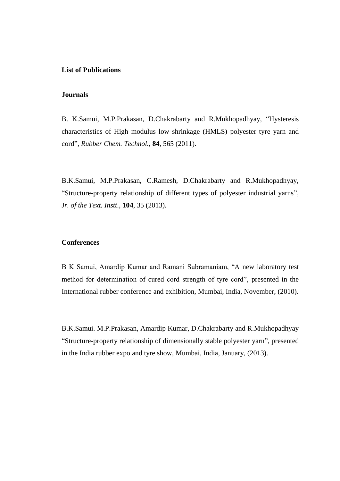## **List of Publications**

## **Journals**

B. K.Samui, M.P.Prakasan, D.Chakrabarty and R.Mukhopadhyay, "Hysteresis characteristics of High modulus low shrinkage (HMLS) polyester tyre yarn and cord", *Rubber Chem. Technol.*, **84**, 565 (2011).

B.K.Samui, M.P.Prakasan, C.Ramesh, D.Chakrabarty and R.Mukhopadhyay, "Structure-property relationship of different types of polyester industrial yarns", J*r. of the Text. Instt*., **104**, 35 (2013).

## **Conferences**

B K Samui, Amardip Kumar and Ramani Subramaniam, "A new laboratory test method for determination of cured cord strength of tyre cord", presented in the International rubber conference and exhibition, Mumbai, India, November, (2010).

B.K.Samui. M.P.Prakasan, Amardip Kumar, D.Chakrabarty and R.Mukhopadhyay "Structure-property relationship of dimensionally stable polyester yarn", presented in the India rubber expo and tyre show, Mumbai, India, January, (2013).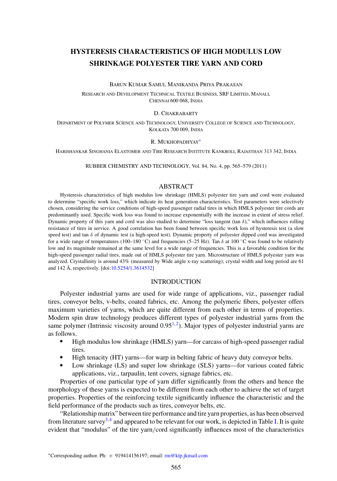# **HYSTERESIS CHARACTERISTICS OF HIGH MODULUS LOW SHRINKAGE POLYESTER TIRE YARN AND CORD**

BARUN KUMAR SAMUI, MANIKANDA PRIYA PRAKASAN

RESEARCH AND DEVELOPMENT TECHNICAL TEXTILE BUSINESS, SRF LIMITED, MANALI, CHENNAI 600 068, INDIA

#### D. CHAKRABARTY

DEPARTMENT OF POLYMER SCIENCE AND TECHNOLOGY, UNIVERSITY COLLEGE OF SCIENCE AND TECHNOLOGY, KOLKATA 700 009, INDIA

#### R. MUKHOPADHYAY<sup>∗</sup>

HARISHANKAR SINGHANIA ELASTOMER AND TIRE RESEARCH INSTITUTE KANKROLI, RAJASTHAN 313 342, INDIA

RUBBER CHEMISTRY AND TECHNOLOGY, Vol. 84, No. 4, pp. 565–579 (2011)

#### ABSTRACT

Hysteresis characteristics of high modulus low shrinkage (HMLS) polyester tire yarn and cord were evaluated to determine "specific work loss," which indicate its heat generation characteristics. Test parameters were selectively chosen, considering the service conditions of high-speed passenger radial tires in which HMLS polyester tire cords are predominantly used. Specific work loss was found to increase exponentially with the increase in extent of stress relief. Dynamic property of this yarn and cord was also studied to determine "loss tangent (tan  $\delta$ )," which influences rolling resistance of tires in service. A good correlation has been found between specific work loss of hysteresis test (a slow speed test) and tan  $\delta$  of dynamic test (a high-speed test). Dynamic property of polyester dipped cord was investigated for a wide range of temperatures (100–180 °C) and frequencies (5–25 Hz). Tan  $\delta$  at 100 °C was found to be relatively low and its magnitude remained at the same level for a wide range of frequencies. This is a favorable condition for the high-speed passenger radial tires, made out of HMLS polyester tire yarn. Microstructure of HMLS polyester yarn was analyzed. Crystallinity is around 43% (measured by Wide angle x-ray scattering); crystal width and long period are 61 and 142 Å, respectively. [doi:10.5254/1.3614532]

#### INTRODUCTION

Polyester industrial yarns are used for wide range of applications, viz., passenger radial tires, conveyor belts, v-belts, coated fabrics, etc. Among the polymeric fibers, polyester offers maximum varieties of yarns, which are quite different from each other in terms of properties. Modern spin draw technology produces different types of polyester industrial yarns from the same polymer (Intrinsic viscosity around  $0.95^{1,2}$ ). Major types of polyester industrial yarns are as follows.

- $\bullet$  High modulus low shrinkage (HMLS) yarn—for carcass of high-speed passenger radial tires.
- High tenacity (HT) yarns—for warp in belting fabric of heavy duty conveyor belts.
- - Low shrinkage (LS) and super low shrinkage (SLS) yarns—for various coated fabric applications, viz., tarpaulin, tent covers, signage fabrics, etc.

Properties of one particular type of yarn differ significantly from the others and hence the morphology of these yarns is expected to be different from each other to achieve the set of target properties. Properties of the reinforcing textile significantly influence the characteristic and the field performance of the products such as tires, conveyor belts, etc.

"Relationship matrix" between tire performance and tire yarn properties, as has been observed from literature survey<sup>3,4</sup> and appeared to be relevant for our work, is depicted in Table I. It is quite evident that "modulus" of the tire yarn/cord significantly influences most of the characteristics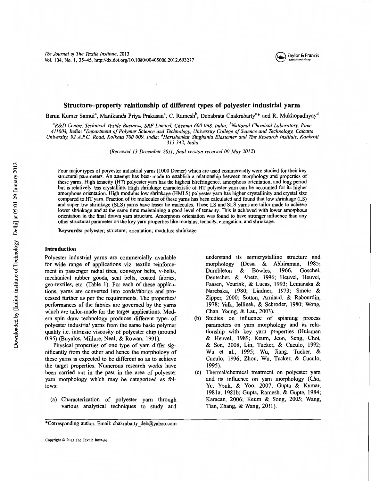The Journal of The Textile Institute, 2013 Vol. 104, No. 1, 35-45, http://dx.doi.org/10.1080/00405000.2012.693277



#### Structure–property relationship of different types of polyester industrial yarns

Barun Kumar Samui<sup>a</sup>, Manikanda Priya Prakasan<sup>a</sup>, C. Ramesh<sup>b</sup>, Debabrata Chakrabarty<sup>c\*</sup> and R. Mukhopadhyay<sup>d</sup>

<sup>a</sup>R&D Centre, Technical Textile Business, SRF Limited, Chennai 600 068, India; <sup>b</sup>National Chemical Laboratory, Pune 411008, India; <sup>c</sup>Department of Polymer Science and Technology, University College of Science and Technology, Calcutta University, 92 A.P.C. Road, Kolkata 700 009, India; <sup>d</sup>Harishankar Singhania Elastomer and Tire Research Institute, Kankroli 313 342, India

(Received 13 December 2011; final version received 09 May 2012)

Four major types of polyester industrial yarns (1000 Denier) which are used commercially were studied for their key structural parameters. An attempt has been made to establish a relationship between morphology and properties of these yarns. High tenacity (HT) polyester yarn has the highest birefringence, amorphous orientation, and long period but is relatively less crystalline. High shrinkage characteristic of HT polyester yarn can be accounted for its higher amorphous orientation. High modulus low shrinkage (HMLS) polyester yarn has higher crystallinity and crystal size compared to HT yarn. Fraction of tie molecules of these yarns has been calculated and found that low shrinkage (LS) and super low shrinkage (SLS) yarns have lesser tie molecules. These LS and SLS yarns are tailor-made to achieve lower shrinkage and at the same time maintaining a good level of tenacity. This is achieved with lower amorphous orientation in the final drawn yarn structure. Amorphous orientation was found to have stronger influence than any other structural parameter on the key yarn properties like modulus, tenacity, elongation, and shrinkage.

Keywords: polyester; structure; orientation; modulus; shrinkage

#### **Introduction**

Polyester industrial yarns are commercially available for wide range of applications viz. textile reinforcement in passenger radial tires, conveyor belts, v-belts, mechanical rubber goods, seat belts, coated fabrics, geo-textiles, etc. (Table 1). For each of these applications, yarns are converted into cords/fabrics and processed further as per the requirements. The properties/ performances of the fabrics are governed by the yarns which are tailor-made for the target applications. Modern spin draw technology produces different types of polyester industrial yarns from the same basic polymer quality i.e. intrinsic viscosity of polyester chip (around 0.95) (Buyalos, Millure, Neal, & Rowan, 1991).

Physical properties of one type of yarn differ significantly from the other and hence the morphology of these yarns is expected to be different so as to achieve the target properties. Numerous research works have been carried out in the past in the area of polyester yarn morphology which may be categorized as follows:

(a) Characterization of polyester yarn through various analytical techniques to study and understand its semicrystalline structure and morphology (Desai & Abhiraman, 1985; Dumbleton & Bowles, 1966: Goschel. Deutscher, & Abetz, 1996; Heuvel, Heuvel, Faasen, Veurink, & Lucas, 1993; Lemanska & Narebska, 1980; Lindner, 1973; Smole & Zipper, 2000; Sotton, Arniaud, & Rabourdin, 1978; Valk, Iellinek, & Schroder, 1980; Wong, Chan, Yeung, & Lau, 2003).

- (b) Studies on influence of spinning process parameters on yarn morphology and its relationship with key yarn properties (Huisman & Heuvel, 1989; Keum, Jeon, Song, Choi, & Son, 2008, Lin, Tucker, & Cuculo, 1992; Wu et al., 1995; Wu, Jiang, Tucker, & Cuculo, 1996; Zhou, Wu, Tucker, & Cuculo, 1995).
- (c) Thermal/chemical treatment on polyester yarn and its influence on yarn morphology (Cho, Yu, Youk, & Yoo, 2007; Gupta & Kumar, 1981a, 1981b; Gupta, Ramesh, & Gupta, 1984; Karacan, 2006; Keum & Song, 2005; Wang, Tian, Zhang, & Wang, 2011).

<sup>\*</sup>Corresponding author. Email: chakrabarty\_deb@yahoo.com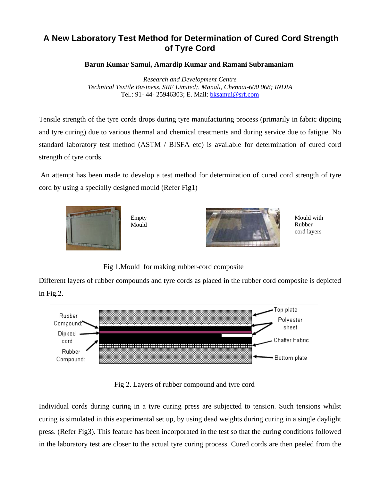# **A New Laboratory Test Method for Determination of Cured Cord Strength of Tyre Cord**

**Barun Kumar Samui, Amardip Kumar and Ramani Subramaniam** 

*Research and Development Centre Technical Textile Business, SRF Limited;, Manali, Chennai-600 068; INDIA*  Tel.: 91- 44- 25946303; E. Mail: bksamui@srf.com

Tensile strength of the tyre cords drops during tyre manufacturing process (primarily in fabric dipping and tyre curing) due to various thermal and chemical treatments and during service due to fatigue. No standard laboratory test method (ASTM / BISFA etc) is available for determination of cured cord strength of tyre cords.

An attempt has been made to develop a test method for determination of cured cord strength of tyre cord by using a specially designed mould (Refer Fig1)



Mould with Rubber – cord layers

# Fig 1.Mould for making rubber-cord composite

Different layers of rubber compounds and tyre cords as placed in the rubber cord composite is depicted in Fig.2.



# Fig 2. Layers of rubber compound and tyre cord

Individual cords during curing in a tyre curing press are subjected to tension. Such tensions whilst curing is simulated in this experimental set up, by using dead weights during curing in a single daylight press. (Refer Fig3). This feature has been incorporated in the test so that the curing conditions followed in the laboratory test are closer to the actual tyre curing process. Cured cords are then peeled from the